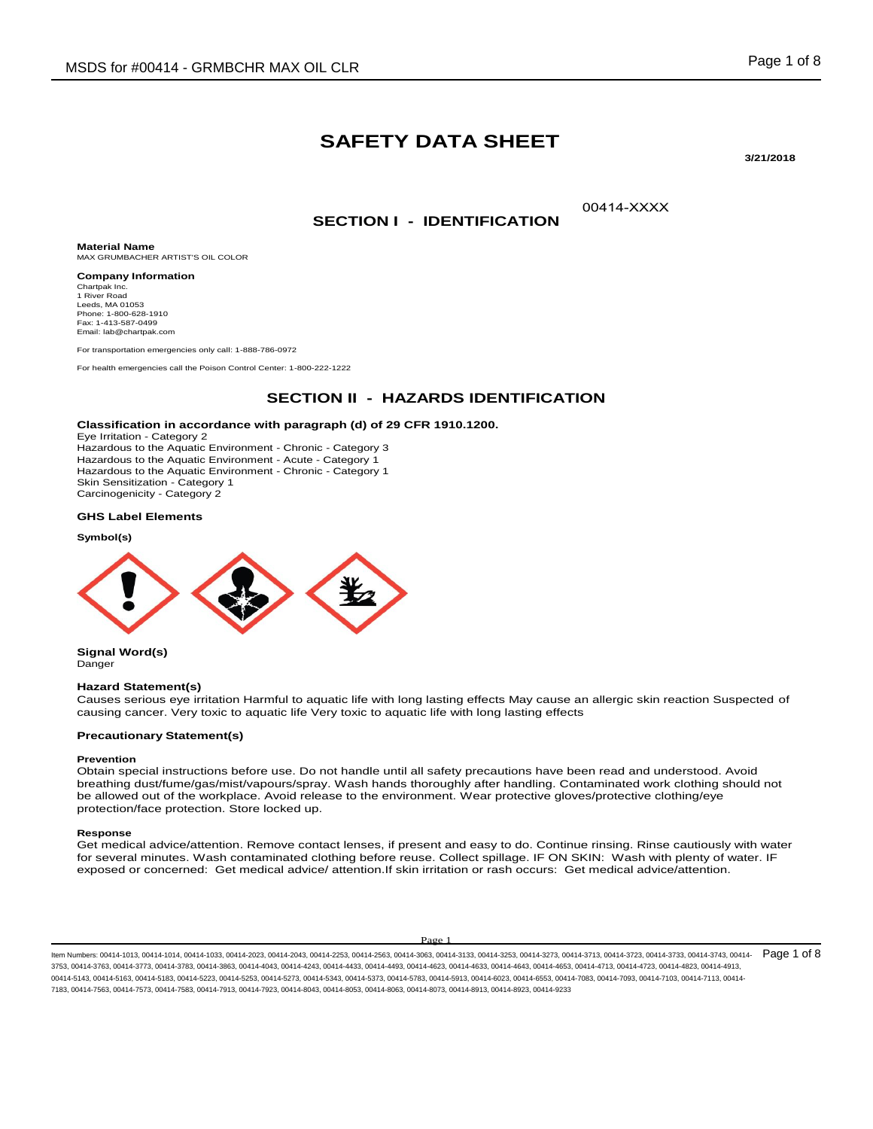# **SAFETY DATA SHEET**

**3/21/2018** 

00414-XXXX

## **SECTION I - IDENTIFICATION**

**Material Name** MAX GRUMBACHER ARTIST'S OIL COLOR

**Company Information** Chartpak Inc. 1 River Road Leeds, MA 01053 Phone: 1-800-628-1910 Fax: 1-413-587-0499 Email: lab@chartpak.com

For transportation emergencies only call: 1-888-786-0972

For health emergencies call the Poison Control Center: 1-800-222-1222

## **SECTION II - HAZARDS IDENTIFICATION**

### **Classification in accordance with paragraph (d) of 29 CFR 1910.1200.**

Eye Irritation - Category 2 Hazardous to the Aquatic Environment - Chronic - Category 3 Hazardous to the Aquatic Environment - Acute - Category 1 Hazardous to the Aquatic Environment - Chronic - Category 1 Skin Sensitization - Category 1 Carcinogenicity - Category 2

#### **GHS Label Elements**

#### **Symbol(s)**



**Signal Word(s)** Danger

#### **Hazard Statement(s)**

Causes serious eye irritation Harmful to aquatic life with long lasting effects May cause an allergic skin reaction Suspected of causing cancer. Very toxic to aquatic life Very toxic to aquatic life with long lasting effects

#### **Precautionary Statement(s)**

#### **Prevention**

Obtain special instructions before use. Do not handle until all safety precautions have been read and understood. Avoid breathing dust/fume/gas/mist/vapours/spray. Wash hands thoroughly after handling. Contaminated work clothing should not be allowed out of the workplace. Avoid release to the environment. Wear protective gloves/protective clothing/eye protection/face protection. Store locked up.

#### **Response**

Get medical advice/attention. Remove contact lenses, if present and easy to do. Continue rinsing. Rinse cautiously with water for several minutes. Wash contaminated clothing before reuse. Collect spillage. IF ON SKIN: Wash with plenty of water. IF exposed or concerned: Get medical advice/ attention.If skin irritation or rash occurs: Get medical advice/attention.

#### Page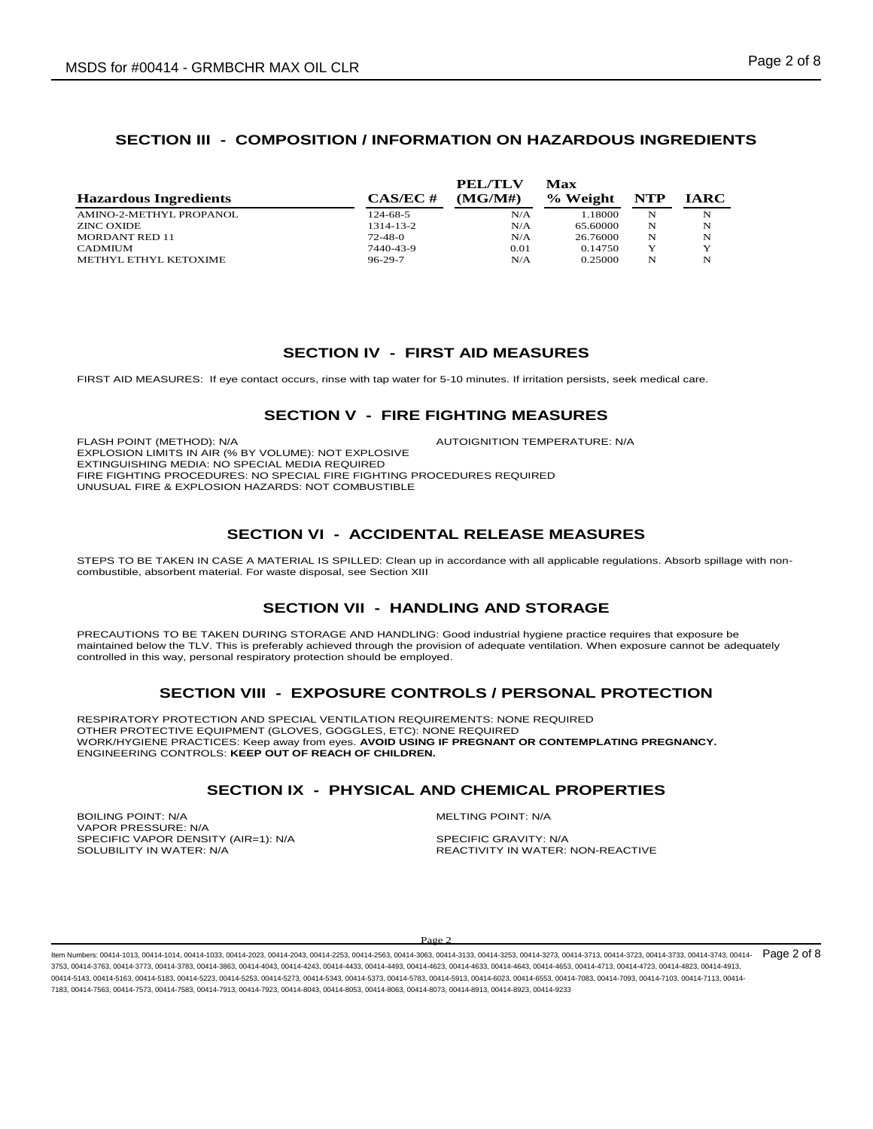# **SECTION III - COMPOSITION / INFORMATION ON HAZARDOUS INGREDIENTS**

|                              |               | PEL/TLV | Max      |     |             |
|------------------------------|---------------|---------|----------|-----|-------------|
| <b>Hazardous Ingredients</b> | $CAS/EC \#$   | (MG/M#) | % Weight | NTP | <b>IARC</b> |
| AMINO-2-METHYL PROPANOL      | 124-68-5      | N/A     | 1.18000  | N   | N           |
| <b>ZINC OXIDE</b>            | 1314-13-2     | N/A     | 65.60000 | N   | N           |
| <b>MORDANT RED 11</b>        | $72 - 48 - 0$ | N/A     | 26.76000 | N   | N           |
| <b>CADMIUM</b>               | 7440-43-9     | 0.01    | 0.14750  | Y   | Y           |
| METHYL ETHYL KETOXIME        | $96 - 29 - 7$ | N/A     | 0.25000  | N   | N           |

# **SECTION IV - FIRST AID MEASURES**

FIRST AID MEASURES: If eye contact occurs, rinse with tap water for 5-10 minutes. If irritation persists, seek medical care.

# **SECTION V - FIRE FIGHTING MEASURES**

FLASH POINT (METHOD): N/A  $\blacksquare$  AUTOIGNITION TEMPERATURE: N/A EXPLOSION LIMITS IN AIR (% BY VOLUME): NOT EXPLOSIVE EXTINGUISHING MEDIA: NO SPECIAL MEDIA REQUIRED FIRE FIGHTING PROCEDURES: NO SPECIAL FIRE FIGHTING PROCEDURES REQUIRED UNUSUAL FIRE & EXPLOSION HAZARDS: NOT COMBUSTIBLE

# **SECTION VI - ACCIDENTAL RELEASE MEASURES**

STEPS TO BE TAKEN IN CASE A MATERIAL IS SPILLED: Clean up in accordance with all applicable regulations. Absorb spillage with noncombustible, absorbent material. For waste disposal, see Section XIII

# **SECTION VII - HANDLING AND STORAGE**

PRECAUTIONS TO BE TAKEN DURING STORAGE AND HANDLING: Good industrial hygiene practice requires that exposure be maintained below the TLV. This is preferably achieved through the provision of adequate ventilation. When exposure cannot be adequately controlled in this way, personal respiratory protection should be employed.

# **SECTION VIII - EXPOSURE CONTROLS / PERSONAL PROTECTION**

RESPIRATORY PROTECTION AND SPECIAL VENTILATION REQUIREMENTS: NONE REQUIRED OTHER PROTECTIVE EQUIPMENT (GLOVES, GOGGLES, ETC): NONE REQUIRED WORK/HYGIENE PRACTICES: Keep away from eyes. **AVOID USING IF PREGNANT OR CONTEMPLATING PREGNANCY.**  ENGINEERING CONTROLS: **KEEP OUT OF REACH OF CHILDREN.**

## **SECTION IX - PHYSICAL AND CHEMICAL PROPERTIES**

BOILING POINT: N/A and the state of the state of the method of the MELTING POINT: N/A VAPOR PRESSURE: N/A SPECIFIC VAPOR DENSITY (AIR=1): N/A SOLUBILITY IN WATER:  $N/A$  SOLUBILITY IN WATER:

REACTIVITY IN WATER: NON-REACTIVE

Page 2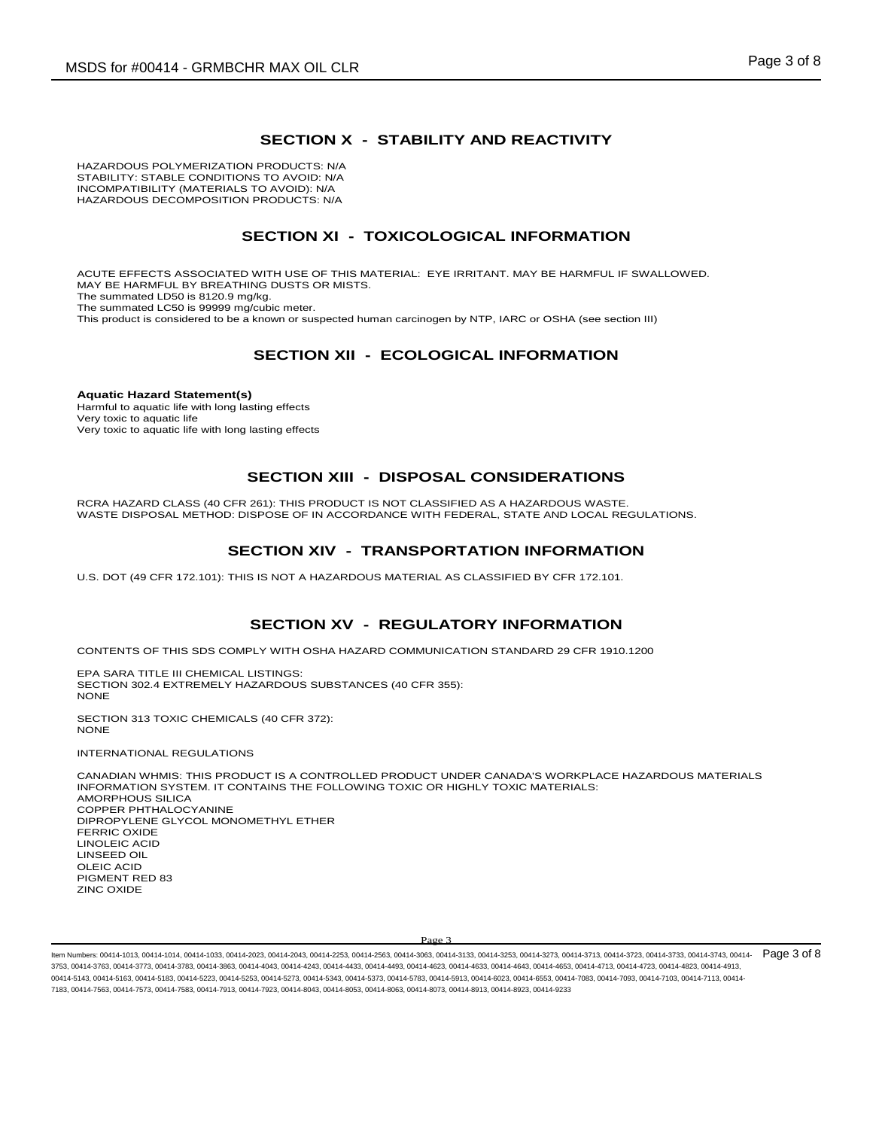## **SECTION X - STABILITY AND REACTIVITY**

HAZARDOUS POLYMERIZATION PRODUCTS: N/A STABILITY: STABLE CONDITIONS TO AVOID: N/A INCOMPATIBILITY (MATERIALS TO AVOID): N/A HAZARDOUS DECOMPOSITION PRODUCTS: N/A

## **SECTION XI - TOXICOLOGICAL INFORMATION**

ACUTE EFFECTS ASSOCIATED WITH USE OF THIS MATERIAL: EYE IRRITANT. MAY BE HARMFUL IF SWALLOWED. MAY BE HARMFUL BY BREATHING DUSTS OR MISTS. The summated LD50 is 8120.9 mg/kg. The summated LC50 is 99999 mg/cubic meter. This product is considered to be a known or suspected human carcinogen by NTP, IARC or OSHA (see section III)

## **SECTION XII - ECOLOGICAL INFORMATION**

**Aquatic Hazard Statement(s)** Harmful to aquatic life with long lasting effects Very toxic to aquatic life Very toxic to aquatic life with long lasting effects

# **SECTION XIII - DISPOSAL CONSIDERATIONS**

RCRA HAZARD CLASS (40 CFR 261): THIS PRODUCT IS NOT CLASSIFIED AS A HAZARDOUS WASTE. WASTE DISPOSAL METHOD: DISPOSE OF IN ACCORDANCE WITH FEDERAL, STATE AND LOCAL REGULATIONS.

## **SECTION XIV - TRANSPORTATION INFORMATION**

U.S. DOT (49 CFR 172.101): THIS IS NOT A HAZARDOUS MATERIAL AS CLASSIFIED BY CFR 172.101.

## **SECTION XV - REGULATORY INFORMATION**

CONTENTS OF THIS SDS COMPLY WITH OSHA HAZARD COMMUNICATION STANDARD 29 CFR 1910.1200

EPA SARA TITLE III CHEMICAL LISTINGS: SECTION 302.4 EXTREMELY HAZARDOUS SUBSTANCES (40 CFR 355): **NONE** 

SECTION 313 TOXIC CHEMICALS (40 CFR 372): **NONE** 

INTERNATIONAL REGULATIONS

CANADIAN WHMIS: THIS PRODUCT IS A CONTROLLED PRODUCT UNDER CANADA'S WORKPLACE HAZARDOUS MATERIALS INFORMATION SYSTEM. IT CONTAINS THE FOLLOWING TOXIC OR HIGHLY TOXIC MATERIALS: AMORPHOUS SILICA COPPER PHTHALOCYANINE DIPROPYLENE GLYCOL MONOMETHYL ETHER FERRIC OXIDE LINOLEIC ACID LINSEED OIL OLEIC ACID PIGMENT RED 83 ZINC OXIDE

#### Page 3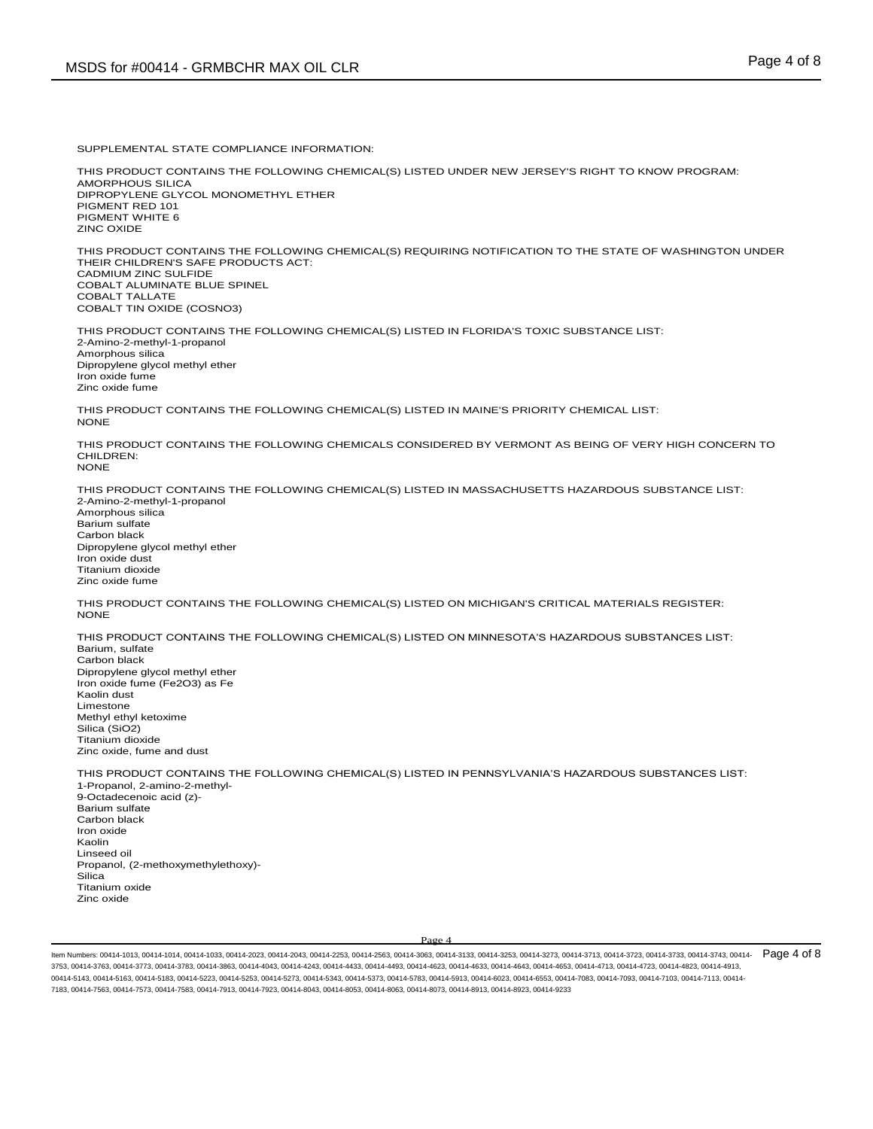SUPPLEMENTAL STATE COMPLIANCE INFORMATION:

THIS PRODUCT CONTAINS THE FOLLOWING CHEMICAL(S) LISTED UNDER NEW JERSEY'S RIGHT TO KNOW PROGRAM: AMORPHOUS SILICA DIPROPYLENE GLYCOL MONOMETHYL ETHER PIGMENT RED 101 PIGMENT WHITE 6 ZINC OXIDE

THIS PRODUCT CONTAINS THE FOLLOWING CHEMICAL(S) REQUIRING NOTIFICATION TO THE STATE OF WASHINGTON UNDER THEIR CHILDREN'S SAFE PRODUCTS ACT: CADMIUM ZINC SULFIDE COBALT ALUMINATE BLUE SPINEL COBALT TALLATE COBALT TIN OXIDE (COSNO3)

THIS PRODUCT CONTAINS THE FOLLOWING CHEMICAL(S) LISTED IN FLORIDA'S TOXIC SUBSTANCE LIST: 2-Amino-2-methyl-1-propanol Amorphous silica Dipropylene glycol methyl ether Iron oxide fume Zinc oxide fume

THIS PRODUCT CONTAINS THE FOLLOWING CHEMICAL(S) LISTED IN MAINE'S PRIORITY CHEMICAL LIST: NONE

THIS PRODUCT CONTAINS THE FOLLOWING CHEMICALS CONSIDERED BY VERMONT AS BEING OF VERY HIGH CONCERN TO CHILDREN: NONE

THIS PRODUCT CONTAINS THE FOLLOWING CHEMICAL(S) LISTED IN MASSACHUSETTS HAZARDOUS SUBSTANCE LIST: 2-Amino-2-methyl-1-propanol Amorphous silica Barium sulfate Carbon black Dipropylene glycol methyl ether Iron oxide dust Titanium dioxide Zinc oxide fume

THIS PRODUCT CONTAINS THE FOLLOWING CHEMICAL(S) LISTED ON MICHIGAN'S CRITICAL MATERIALS REGISTER: NONE

THIS PRODUCT CONTAINS THE FOLLOWING CHEMICAL(S) LISTED ON MINNESOTA'S HAZARDOUS SUBSTANCES LIST: Barium, sulfate Carbon black Dipropylene glycol methyl ether Iron oxide fume (Fe2O3) as Fe Kaolin dust Limestone Methyl ethyl ketoxime Silica (SiO2) Titanium dioxide Zinc oxide, fume and dust

THIS PRODUCT CONTAINS THE FOLLOWING CHEMICAL(S) LISTED IN PENNSYLVANIA'S HAZARDOUS SUBSTANCES LIST: 1-Propanol, 2-amino-2-methyl-9-Octadecenoic acid (z)- Barium sulfate Carbon black Iron oxide Kaolin Linseed oil Propanol, (2-methoxymethylethoxy)- Silica Titanium oxide Zinc oxide

Page 4

ltem Numbers: 00414-1013, 00414-1014, 00414-1033, 00414-2023, 00414-2043, 00414-2253, 00414-2563, 00414-363, 00414-3733, 00414-373, 00414-3713, 00414-3713, 00414-3733, 00414-3733, 00414-3733, 00414-3733, 00414-3733, 00414-3753, 00414-3763, 00414-3773, 00414-3783, 00414-3863, 00414-4043, 00414-4243, 00414-4433, 00414-4493, 00414-4623, 00414-4633, 00414-4643, 00414-4653, 00414-4713, 00414-4723, 00414-4823, 00414-4913, 00414-5143, 00414-5163, 00414-5183, 00414-5223, 00414-5253, 00414-5273, 00414-5343, 00414-5373, 00414-5783, 00414-5913, 00414-6023, 00414-6553, 00414-7083, 00414-7093, 00414-7103, 00414-7113, 00414- 7183, 00414-7563, 00414-7573, 00414-7583, 00414-7913, 00414-7923, 00414-8043, 00414-8053, 00414-8063, 00414-8073, 00414-8913, 00414-8923, 00414-9233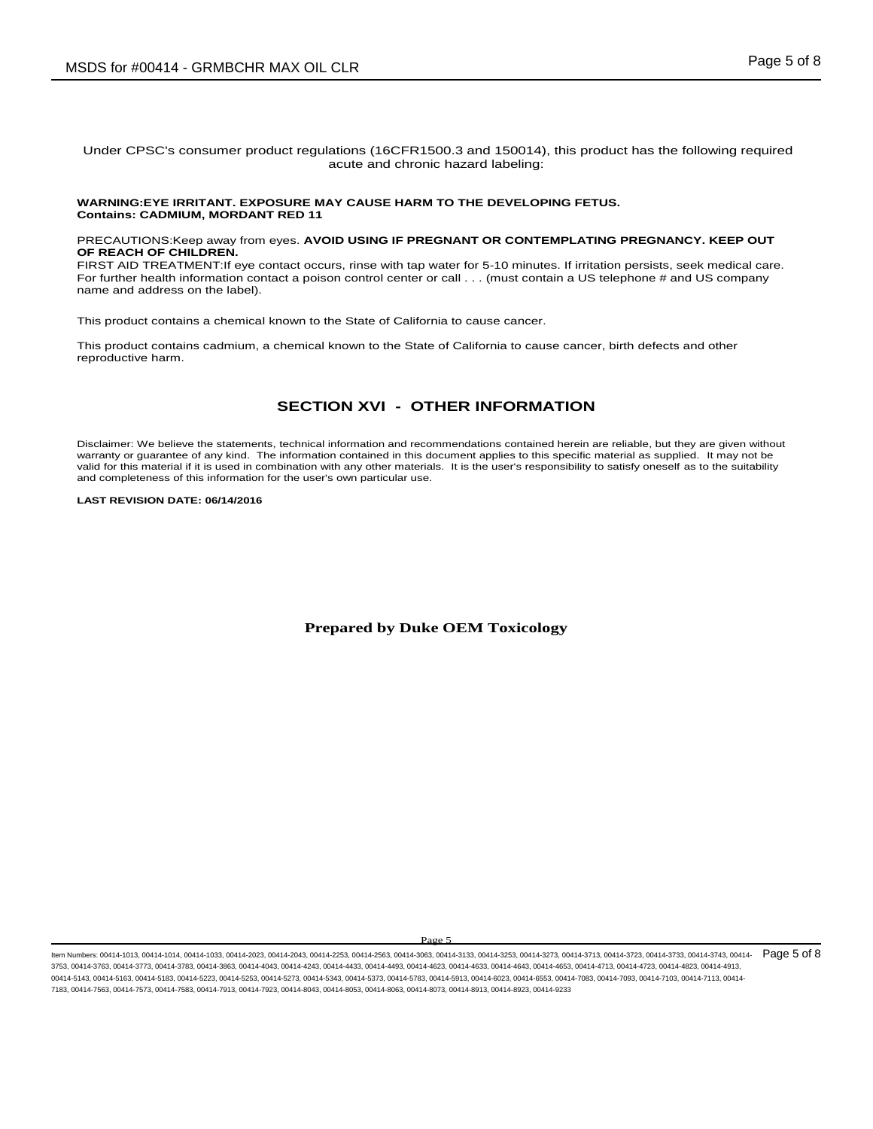### Under CPSC's consumer product regulations (16CFR1500.3 and 150014), this product has the following required acute and chronic hazard labeling:

#### **WARNING:EYE IRRITANT. EXPOSURE MAY CAUSE HARM TO THE DEVELOPING FETUS. Contains: CADMIUM, MORDANT RED 11**

PRECAUTIONS:Keep away from eyes. **AVOID USING IF PREGNANT OR CONTEMPLATING PREGNANCY. KEEP OUT OF REACH OF CHILDREN.** 

FIRST AID TREATMENT:If eye contact occurs, rinse with tap water for 5-10 minutes. If irritation persists, seek medical care. For further health information contact a poison control center or call . . . (must contain a US telephone # and US company name and address on the label).

This product contains a chemical known to the State of California to cause cancer.

This product contains cadmium, a chemical known to the State of California to cause cancer, birth defects and other reproductive harm.

# **SECTION XVI - OTHER INFORMATION**

Disclaimer: We believe the statements, technical information and recommendations contained herein are reliable, but they are given without warranty or guarantee of any kind. The information contained in this document applies to this specific material as supplied. It may not be valid for this material if it is used in combination with any other materials. It is the user's responsibility to satisfy oneself as to the suitability and completeness of this information for the user's own particular use.

### **LAST REVISION DATE: 06/14/2016**

### **Prepared by Duke OEM Toxicology**

Page 5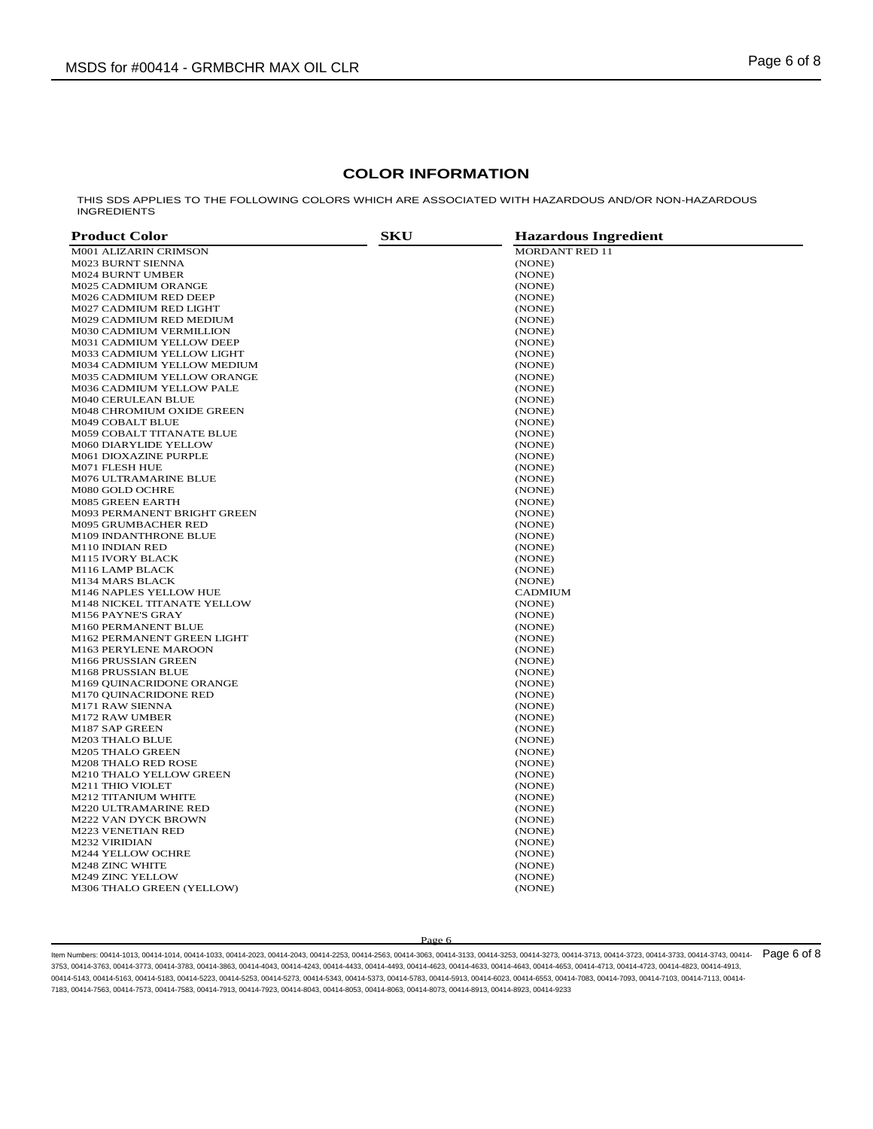## **COLOR INFORMATION**

THIS SDS APPLIES TO THE FOLLOWING COLORS WHICH ARE ASSOCIATED WITH HAZARDOUS AND/OR NON-HAZARDOUS INGREDIENTS

| <b>Product Color</b>               | <b>SKU</b> | <b>Hazardous Ingredient</b> |  |
|------------------------------------|------------|-----------------------------|--|
| <b>M001 ALIZARIN CRIMSON</b>       |            | <b>MORDANT RED 11</b>       |  |
| M023 BURNT SIENNA                  |            | (NONE)                      |  |
| <b>M024 BURNT UMBER</b>            |            | (NONE)                      |  |
| <b>M025 CADMIUM ORANGE</b>         |            | (NONE)                      |  |
| M026 CADMIUM RED DEEP              |            | (NONE)                      |  |
| <b>M027 CADMIUM RED LIGHT</b>      |            | (NONE)                      |  |
| M029 CADMIUM RED MEDIUM            |            | (NONE)                      |  |
| M030 CADMIUM VERMILLION            |            | (NONE)                      |  |
| M031 CADMIUM YELLOW DEEP           |            | (NONE)                      |  |
| M033 CADMIUM YELLOW LIGHT          |            | (NONE)                      |  |
| M034 CADMIUM YELLOW MEDIUM         |            | (NONE)                      |  |
| M035 CADMIUM YELLOW ORANGE         |            | (NONE)                      |  |
| M036 CADMIUM YELLOW PALE           |            | (NONE)                      |  |
| <b>M040 CERULEAN BLUE</b>          |            | (NONE)                      |  |
| M048 CHROMIUM OXIDE GREEN          |            | (NONE)                      |  |
| M049 COBALT BLUE                   |            | (NONE)                      |  |
| <b>M059 COBALT TITANATE BLUE</b>   |            | (NONE)                      |  |
| <b>M060 DIARYLIDE YELLOW</b>       |            | (NONE)                      |  |
| M061 DIOXAZINE PURPLE              |            | (NONE)                      |  |
| M071 FLESH HUE                     |            | (NONE)                      |  |
| M076 ULTRAMARINE BLUE              |            | (NONE)                      |  |
| M080 GOLD OCHRE                    |            | (NONE)                      |  |
| M085 GREEN EARTH                   |            | (NONE)                      |  |
| <b>M093 PERMANENT BRIGHT GREEN</b> |            | (NONE)                      |  |
| <b>M095 GRUMBACHER RED</b>         |            | (NONE)                      |  |
| <b>M109 INDANTHRONE BLUE</b>       |            | (NONE)                      |  |
| M110 INDIAN RED                    |            | (NONE)                      |  |
| <b>M115 IVORY BLACK</b>            |            | (NONE)                      |  |
| M116 LAMP BLACK                    |            | (NONE)                      |  |
| <b>M134 MARS BLACK</b>             |            | (NONE)                      |  |
| M146 NAPLES YELLOW HUE             |            | <b>CADMIUM</b>              |  |
| M148 NICKEL TITANATE YELLOW        |            | (NONE)                      |  |
| M156 PAYNE'S GRAY                  |            | (NONE)                      |  |
| M160 PERMANENT BLUE                |            | (NONE)                      |  |
| M162 PERMANENT GREEN LIGHT         |            | (NONE)                      |  |
| M163 PERYLENE MAROON               |            | (NONE)                      |  |
| M166 PRUSSIAN GREEN                |            | (NONE)                      |  |
| M168 PRUSSIAN BLUE                 |            | (NONE)                      |  |
| M169 QUINACRIDONE ORANGE           |            | (NONE)                      |  |
| M170 QUINACRIDONE RED              |            | (NONE)                      |  |
| <b>M171 RAW SIENNA</b>             |            | (NONE)                      |  |
| M172 RAW UMBER                     |            | (NONE)                      |  |
| M187 SAP GREEN                     |            | (NONE)                      |  |
| <b>M203 THALO BLUE</b>             |            | (NONE)                      |  |
| <b>M205 THALO GREEN</b>            |            | (NONE)                      |  |
| <b>M208 THALO RED ROSE</b>         |            | (NONE)                      |  |
| <b>M210 THALO YELLOW GREEN</b>     |            | (NONE)                      |  |
| <b>M211 THIO VIOLET</b>            |            | (NONE)                      |  |
| <b>M212 TITANIUM WHITE</b>         |            | (NONE)                      |  |
| <b>M220 ULTRAMARINE RED</b>        |            | (NONE)                      |  |
| <b>M222 VAN DYCK BROWN</b>         |            | (NONE)                      |  |
| <b>M223 VENETIAN RED</b>           |            | (NONE)                      |  |
| <b>M232 VIRIDIAN</b>               |            | (NONE)                      |  |
| <b>M244 YELLOW OCHRE</b>           |            | (NONE)                      |  |
| <b>M248 ZINC WHITE</b>             |            | (NONE)                      |  |
| <b>M249 ZINC YELLOW</b>            |            | (NONE)                      |  |
| M306 THALO GREEN (YELLOW)          |            | (NONE)                      |  |

#### Page 6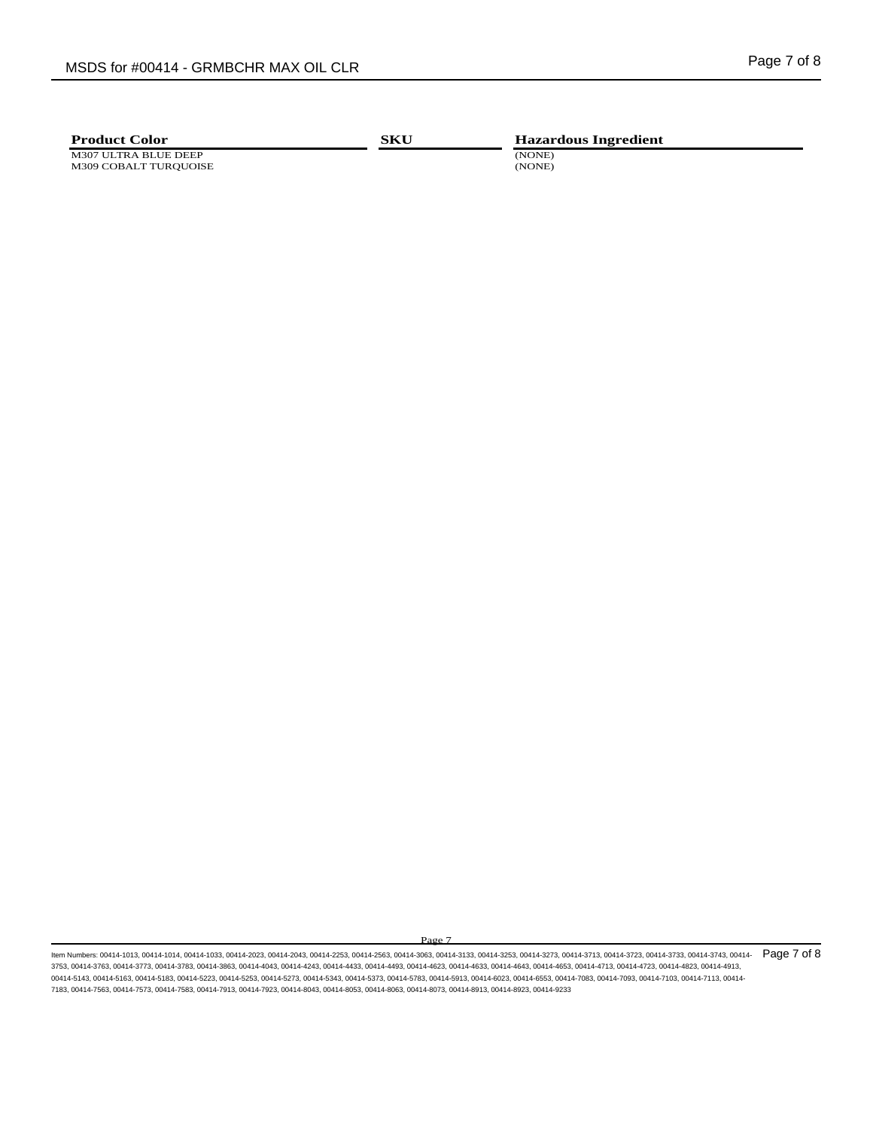M307 ULTRA BLUE DEEP (NONE) N309 COBALT TURQUOISE (NONE) M309 COBALT TURQUOISE

**Product Color SKU Hazardous Ingredient** 

Page 7